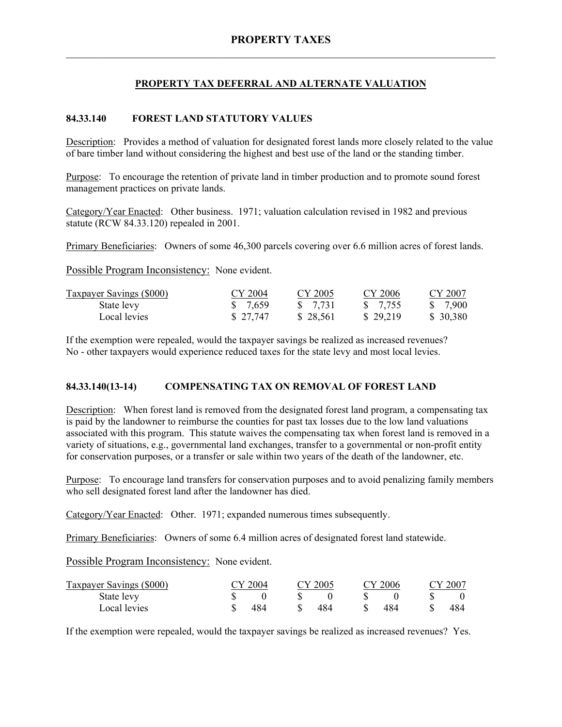## **PROPERTY TAX DEFERRAL AND ALTERNATE VALUATION**

## **84.33.140 FOREST LAND STATUTORY VALUES**

Description: Provides a method of valuation for designated forest lands more closely related to the value of bare timber land without considering the highest and best use of the land or the standing timber.

Purpose: To encourage the retention of private land in timber production and to promote sound forest management practices on private lands.

Category/Year Enacted: Other business. 1971; valuation calculation revised in 1982 and previous statute (RCW 84.33.120) repealed in 2001.

Primary Beneficiaries: Owners of some 46,300 parcels covering over 6.6 million acres of forest lands.

Possible Program Inconsistency: None evident.

| <b>Taxpayer Savings (\$000)</b> | CY 2004  | CY 2005             | CY 2006  | CY 2007   |
|---------------------------------|----------|---------------------|----------|-----------|
| State levy                      | \$ 7,659 | $\frac{1}{2}$ 7.731 | \$ 7.755 | \$ 7.900  |
| Local levies                    | \$27,747 | \$28,561            | \$29,219 | \$ 30,380 |

If the exemption were repealed, would the taxpayer savings be realized as increased revenues? No - other taxpayers would experience reduced taxes for the state levy and most local levies.

### **84.33.140(13-14) COMPENSATING TAX ON REMOVAL OF FOREST LAND**

Description: When forest land is removed from the designated forest land program, a compensating tax is paid by the landowner to reimburse the counties for past tax losses due to the low land valuations associated with this program. This statute waives the compensating tax when forest land is removed in a variety of situations, e.g., governmental land exchanges, transfer to a governmental or non-profit entity for conservation purposes, or a transfer or sale within two years of the death of the landowner, etc.

Purpose: To encourage land transfers for conservation purposes and to avoid penalizing family members who sell designated forest land after the landowner has died.

Category/Year Enacted: Other. 1971; expanded numerous times subsequently.

Primary Beneficiaries: Owners of some 6.4 million acres of designated forest land statewide.

Possible Program Inconsistency: None evident.

| Taxpayer Savings (\$000) | CY 2004 |    | CY 2005 |     | CY 2006 | CY 2007 |
|--------------------------|---------|----|---------|-----|---------|---------|
| State levy               |         |    |         |     |         |         |
| Local levies             | 484     | S. | 484     | -SS | 484     | 484     |

If the exemption were repealed, would the taxpayer savings be realized as increased revenues? Yes.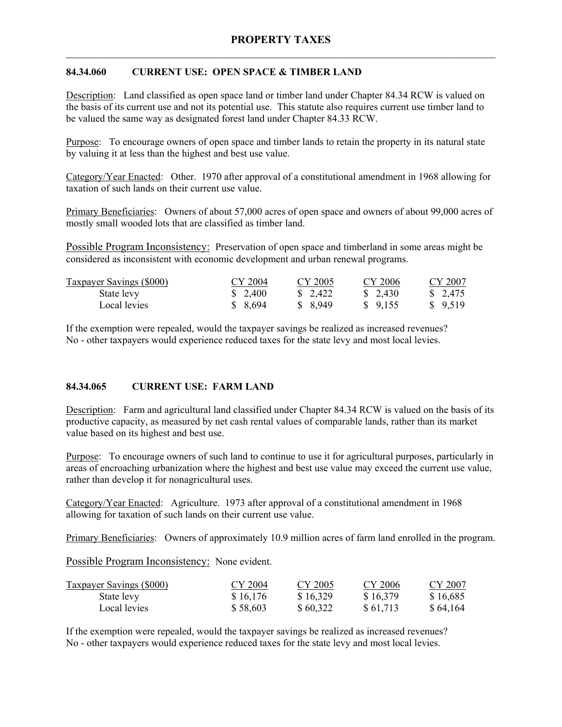## **84.34.060 CURRENT USE: OPEN SPACE & TIMBER LAND**

Description: Land classified as open space land or timber land under Chapter 84.34 RCW is valued on the basis of its current use and not its potential use. This statute also requires current use timber land to be valued the same way as designated forest land under Chapter 84.33 RCW.

Purpose: To encourage owners of open space and timber lands to retain the property in its natural state by valuing it at less than the highest and best use value.

Category/Year Enacted: Other. 1970 after approval of a constitutional amendment in 1968 allowing for taxation of such lands on their current use value.

Primary Beneficiaries: Owners of about 57,000 acres of open space and owners of about 99,000 acres of mostly small wooded lots that are classified as timber land.

Possible Program Inconsistency: Preservation of open space and timberland in some areas might be considered as inconsistent with economic development and urban renewal programs.

| <b>Taxpayer Savings (\$000)</b> | CY 2004  | CY 2005  | CY 2006  | CY 2007  |
|---------------------------------|----------|----------|----------|----------|
| State levy                      | \$ 2,400 | \$ 2.422 | \$ 2,430 | \$ 2,475 |
| Local levies                    | \$8,694  | \$ 8,949 | \$ 9.155 | \$9,519  |

If the exemption were repealed, would the taxpayer savings be realized as increased revenues? No - other taxpayers would experience reduced taxes for the state levy and most local levies.

# **84.34.065 CURRENT USE: FARM LAND**

Description: Farm and agricultural land classified under Chapter 84.34 RCW is valued on the basis of its productive capacity, as measured by net cash rental values of comparable lands, rather than its market value based on its highest and best use.

Purpose: To encourage owners of such land to continue to use it for agricultural purposes, particularly in areas of encroaching urbanization where the highest and best use value may exceed the current use value, rather than develop it for nonagricultural uses.

Category/Year Enacted: Agriculture. 1973 after approval of a constitutional amendment in 1968 allowing for taxation of such lands on their current use value.

Primary Beneficiaries: Owners of approximately 10.9 million acres of farm land enrolled in the program.

Possible Program Inconsistency: None evident.

| <b>Taxpayer Savings (\$000)</b> | CY 2004  | CY 2005  | CY 2006  | CY 2007  |
|---------------------------------|----------|----------|----------|----------|
| State levy                      | \$16,176 | \$16,329 | \$16,379 | \$16,685 |
| Local levies                    | \$58,603 | \$60,322 | \$61,713 | \$64,164 |

If the exemption were repealed, would the taxpayer savings be realized as increased revenues? No - other taxpayers would experience reduced taxes for the state levy and most local levies.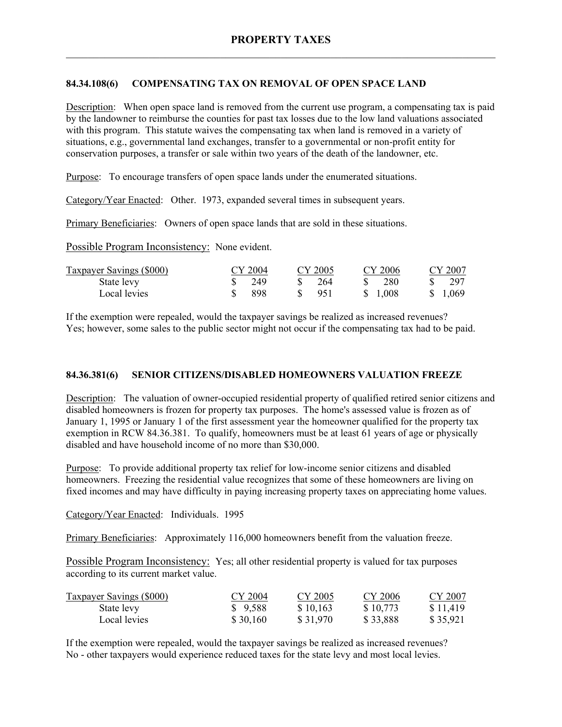## **84.34.108(6) COMPENSATING TAX ON REMOVAL OF OPEN SPACE LAND**

Description: When open space land is removed from the current use program, a compensating tax is paid by the landowner to reimburse the counties for past tax losses due to the low land valuations associated with this program. This statute waives the compensating tax when land is removed in a variety of situations, e.g., governmental land exchanges, transfer to a governmental or non-profit entity for conservation purposes, a transfer or sale within two years of the death of the landowner, etc.

Purpose: To encourage transfers of open space lands under the enumerated situations.

Category/Year Enacted: Other. 1973, expanded several times in subsequent years.

Primary Beneficiaries: Owners of open space lands that are sold in these situations.

Possible Program Inconsistency: None evident.

| <b>Taxpayer Savings (\$000)</b> | CY 2004 | CY 2005 | CY 2006  | CY 2007  |
|---------------------------------|---------|---------|----------|----------|
| State levy                      | 249     | 264     | 280      | - 297    |
| Local levies                    | 898     | -951    | \$ 1.008 | \$ 1.069 |

If the exemption were repealed, would the taxpayer savings be realized as increased revenues? Yes; however, some sales to the public sector might not occur if the compensating tax had to be paid.

### **84.36.381(6) SENIOR CITIZENS/DISABLED HOMEOWNERS VALUATION FREEZE**

Description: The valuation of owner-occupied residential property of qualified retired senior citizens and disabled homeowners is frozen for property tax purposes. The home's assessed value is frozen as of January 1, 1995 or January 1 of the first assessment year the homeowner qualified for the property tax exemption in RCW 84.36.381. To qualify, homeowners must be at least 61 years of age or physically disabled and have household income of no more than \$30,000.

Purpose: To provide additional property tax relief for low-income senior citizens and disabled homeowners. Freezing the residential value recognizes that some of these homeowners are living on fixed incomes and may have difficulty in paying increasing property taxes on appreciating home values.

Category/Year Enacted: Individuals. 1995

Primary Beneficiaries: Approximately 116,000 homeowners benefit from the valuation freeze.

Possible Program Inconsistency: Yes; all other residential property is valued for tax purposes according to its current market value.

| Taxpayer Savings (\$000) | CY 2004  | CY 2005  | CY 2006  | CY 2007  |
|--------------------------|----------|----------|----------|----------|
| State levy               | \$9,588  | \$10,163 | \$10,773 | \$11,419 |
| Local levies             | \$30,160 | \$31,970 | \$33,888 | \$35,921 |

If the exemption were repealed, would the taxpayer savings be realized as increased revenues? No - other taxpayers would experience reduced taxes for the state levy and most local levies.